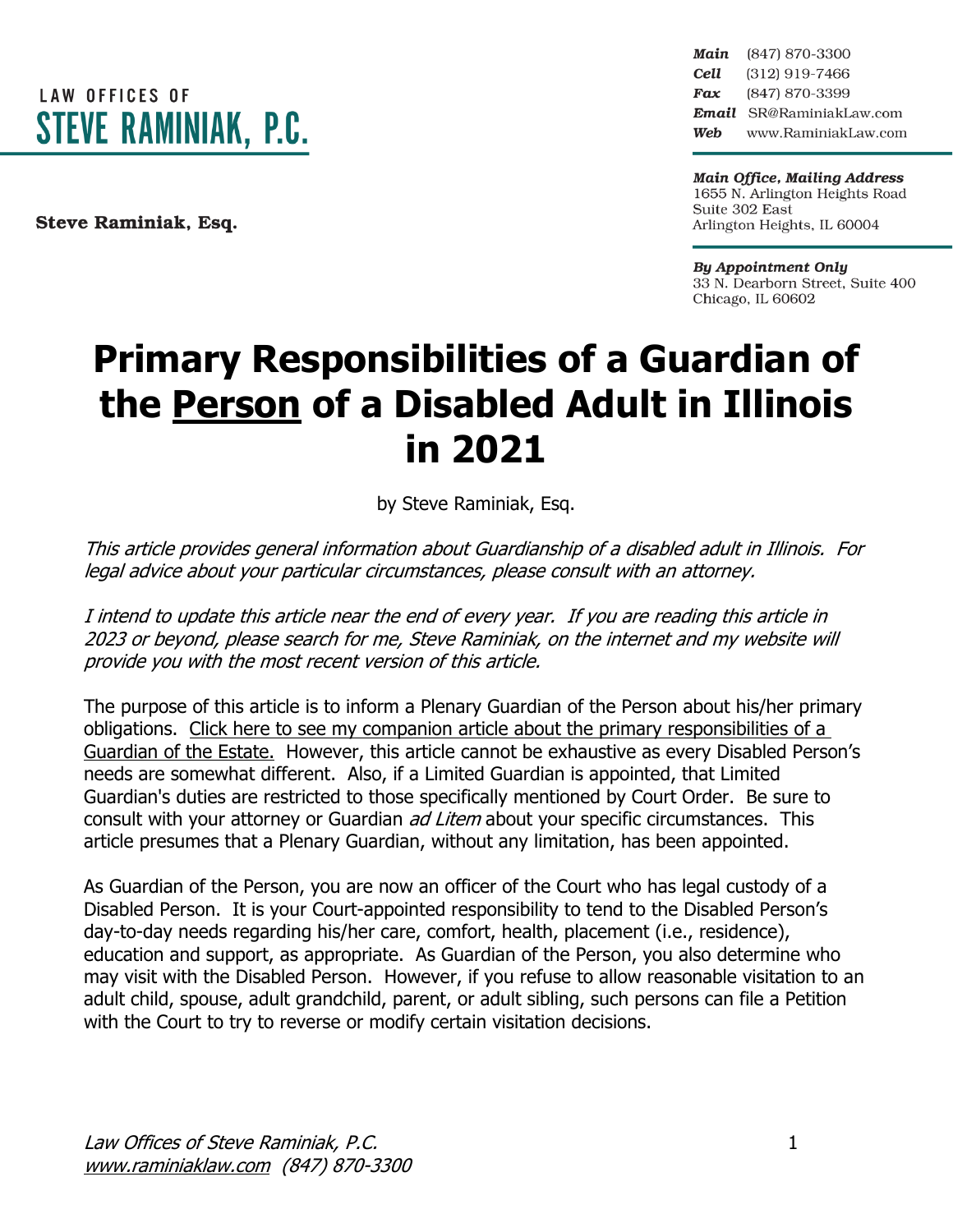

Steve Raminiak, Esq.

Main (847) 870-3300 Cell (312) 919-7466 Fax (847) 870-3399 Email SR@RaminiakLaw.com Web www.RaminiakLaw.com

**Main Office, Mailing Address** 1655 N. Arlington Heights Road Suite 302 East Arlington Heights, IL 60004

**By Appointment Only** 33 N. Dearborn Street, Suite 400 Chicago, IL 60602

# **Primary Responsibilities of a Guardian of the Person of a Disabled Adult in Illinois in 2021**

by Steve Raminiak, Esq.

This article provides general information about Guardianship of <sup>a</sup> disabled adult in Illinois. For legal advice about your particular circumstances, please consult with an attorney.

I intend to update this article near the end of every year. If you are reading this article in 2023 or beyond, please search for me, Steve Raminiak, on the internet and my website will provide you with the most recent version of this article.

The purpose of this article is to inform a Plenary Guardian of the Person about his/her primary obligations. Click here to see my companion article about the primary [responsibilities](https://www.raminiaklaw.com/guardian-of-the-estate) of a [Guardian](https://www.raminiaklaw.com/guardian-of-the-estate) of the Estate. However, this article cannot be exhaustive as every Disabled Person's needs are somewhat different. Also, if a Limited Guardian is appointed, that Limited Guardian's duties are restricted to those specifically mentioned by Court Order. Be sure to consult with your attorney or Guardian *ad Litem* about your specific circumstances. This article presumes that a Plenary Guardian, without any limitation, has been appointed.

As Guardian of the Person, you are now an officer of the Court who has legal custody of a Disabled Person. It is your Court-appointed responsibility to tend to the Disabled Person's day-to-day needs regarding his/her care, comfort, health, placement (i.e., residence), education and support, as appropriate. As Guardian of the Person, you also determine who may visit with the Disabled Person. However, if you refuse to allow reasonable visitation to an adult child, spouse, adult grandchild, parent, or adult sibling, such persons can file a Petition with the Court to try to reverse or modify certain visitation decisions.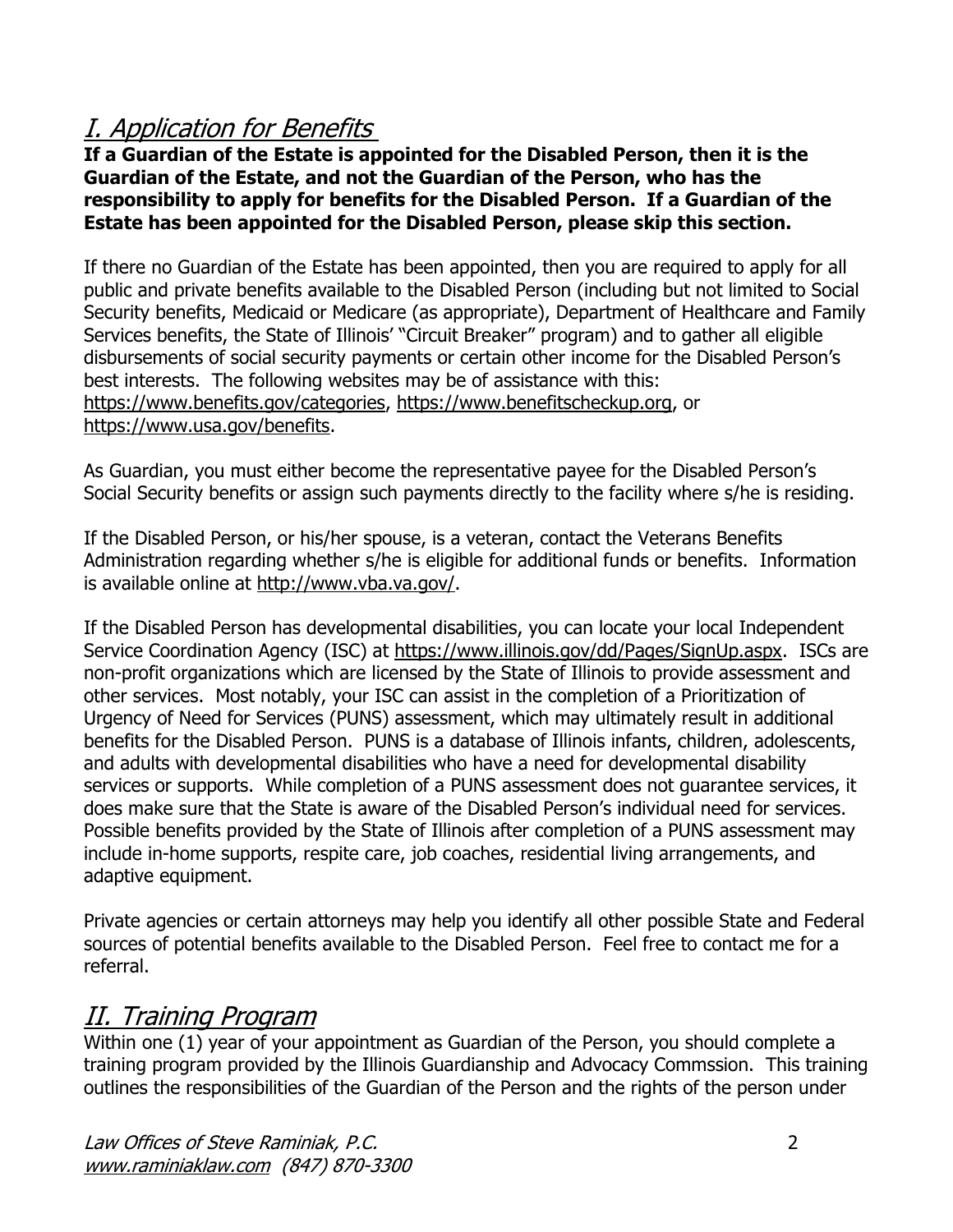### I. Application for Benefits

**If a Guardian of the Estate is appointed for the Disabled Person, then it is the Guardian of the Estate, and not the Guardian of the Person, who has the responsibility to apply for benefits for the Disabled Person. If a Guardian of the Estate has been appointed for the Disabled Person, please skip this section.**

If there no Guardian of the Estate has been appointed, then you are required to apply for all public and private benefits available to the Disabled Person (including but not limited to Social Security benefits, Medicaid or Medicare (as appropriate), Department of Healthcare and Family Services benefits, the State of Illinois' "Circuit Breaker" program) and to gather all eligible disbursements of social security payments or certain other income for the Disabled Person's best interests. The following websites may be of assistance with this: [https://www.benefits.gov/categories,](https://www.benefits.gov/categories) [https://www.benefitscheckup.org,](https://www.benefitscheckup.org/) or [https://www.usa.gov/benefits.](https://www.usa.gov/benefits)

As Guardian, you must either become the representative payee for the Disabled Person's Social Security benefits or assign such payments directly to the facility where s/he is residing.

If the Disabled Person, or his/her spouse, is a veteran, contact the Veterans Benefits Administration regarding whether s/he is eligible for additional funds or benefits. Information is available online at [http://www.vba.va.gov/.](http://www.vba.va.gov/)

If the Disabled Person has developmental disabilities, you can locate your local Independent Service Coordination Agency (ISC) at [https://www.illinois.gov/dd/Pages/SignUp.aspx.](https://www.illinois.gov/dd/Pages/SignUp.aspx) ISCs are non-profit organizations which are licensed by the State of Illinois to provide assessment and other services. Most notably, your ISC can assist in the completion of a Prioritization of Urgency of Need for Services (PUNS) assessment, which may ultimately result in additional benefits for the Disabled Person. PUNS is a database of Illinois infants, children, adolescents, and adults with developmental disabilities who have a need for developmental disability services or supports. While completion of a PUNS assessment does not guarantee services, it does make sure that the State is aware of the Disabled Person's individual need for services. Possible benefits provided by the State of Illinois after completion of a PUNS assessment may include in-home supports, respite care, job coaches, residential living arrangements, and adaptive equipment.

Private agencies or certain attorneys may help you identify all other possible State and Federal sources of potential benefits available to the Disabled Person. Feel free to contact me for a referral.

#### II. Training Program

Within one (1) year of your appointment as Guardian of the Person, you should complete a training program provided by the Illinois Guardianship and Advocacy Commssion. This training outlines the responsibilities of the Guardian of the Person and the rights of the person under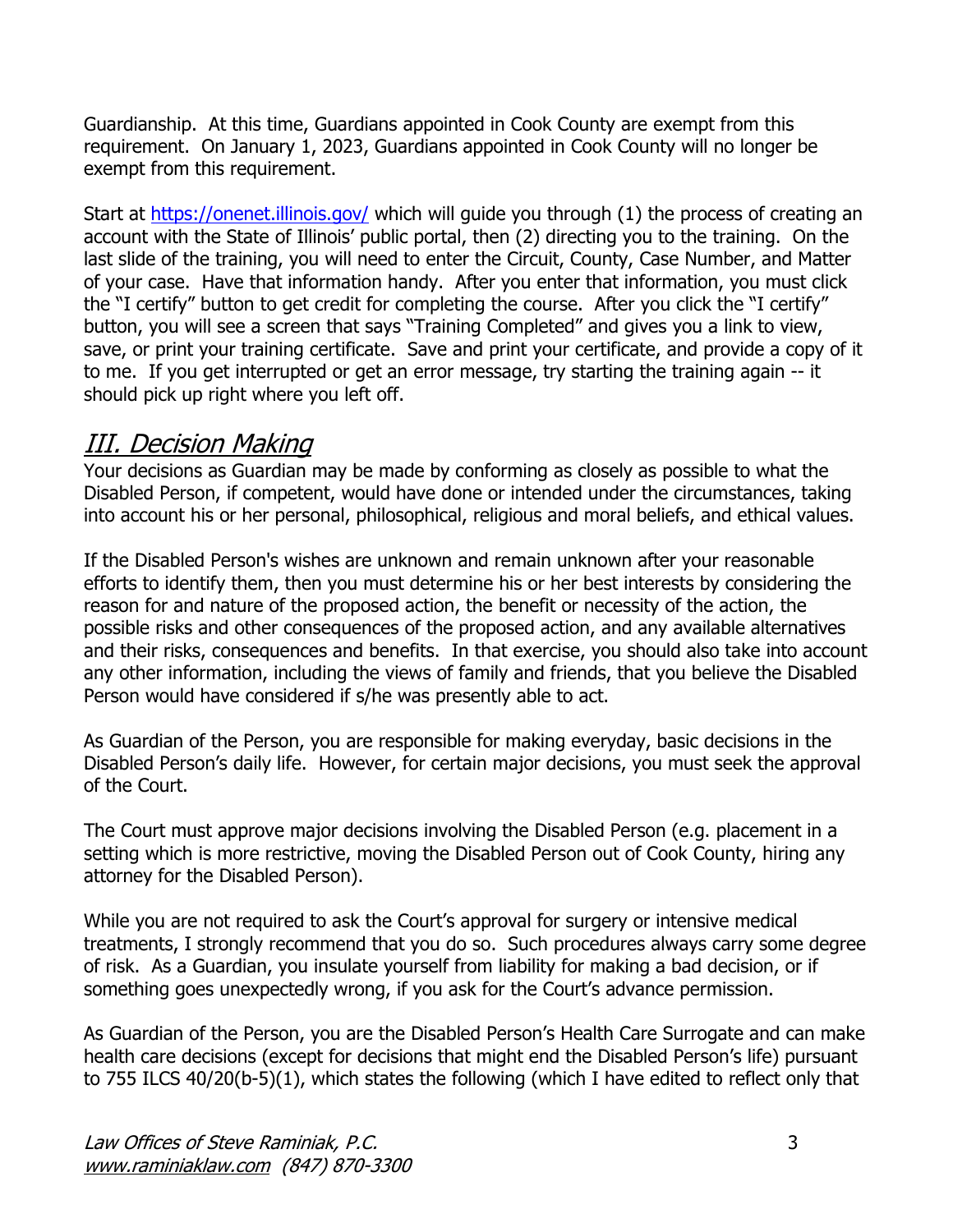Guardianship. At this time, Guardians appointed in Cook County are exempt from this requirement. On January 1, 2023, Guardians appointed in Cook County will no longer be exempt from this requirement.

Start at <https://onenet.illinois.gov/> which will guide you through (1) the process of creating an account with the State of Illinois' public portal, then (2) directing you to the training. On the last slide of the training, you will need to enter the Circuit, County, Case Number, and Matter of your case. Have that information handy. After you enter that information, you must click the "I certify" button to get credit for completing the course. After you click the "I certify" button, you will see a screen that says "Training Completed" and gives you a link to view, save, or print your training certificate. Save and print your certificate, and provide a copy of it to me. If you get interrupted or get an error message, try starting the training again -- it should pick up right where you left off.

#### III. Decision Making

Your decisions as Guardian may be made by conforming as closely as possible to what the Disabled Person, if competent, would have done or intended under the circumstances, taking into account his or her personal, philosophical, religious and moral beliefs, and ethical values.

If the Disabled Person's wishes are unknown and remain unknown after your reasonable efforts to identify them, then you must determine his or her best interests by considering the reason for and nature of the proposed action, the benefit or necessity of the action, the possible risks and other consequences of the proposed action, and any available alternatives and their risks, consequences and benefits. In that exercise, you should also take into account any other information, including the views of family and friends, that you believe the Disabled Person would have considered if s/he was presently able to act.

As Guardian of the Person, you are responsible for making everyday, basic decisions in the Disabled Person's daily life. However, for certain major decisions, you must seek the approval of the Court.

The Court must approve major decisions involving the Disabled Person (e.g. placement in a setting which is more restrictive, moving the Disabled Person out of Cook County, hiring any attorney for the Disabled Person).

While you are not required to ask the Court's approval for surgery or intensive medical treatments, I strongly recommend that you do so. Such procedures always carry some degree of risk. As a Guardian, you insulate yourself from liability for making a bad decision, or if something goes unexpectedly wrong, if you ask for the Court's advance permission.

As Guardian of the Person, you are the Disabled Person's Health Care Surrogate and can make health care decisions (except for decisions that might end the Disabled Person's life) pursuant to 755 ILCS 40/20(b-5)(1), which states the following (which I have edited to reflect only that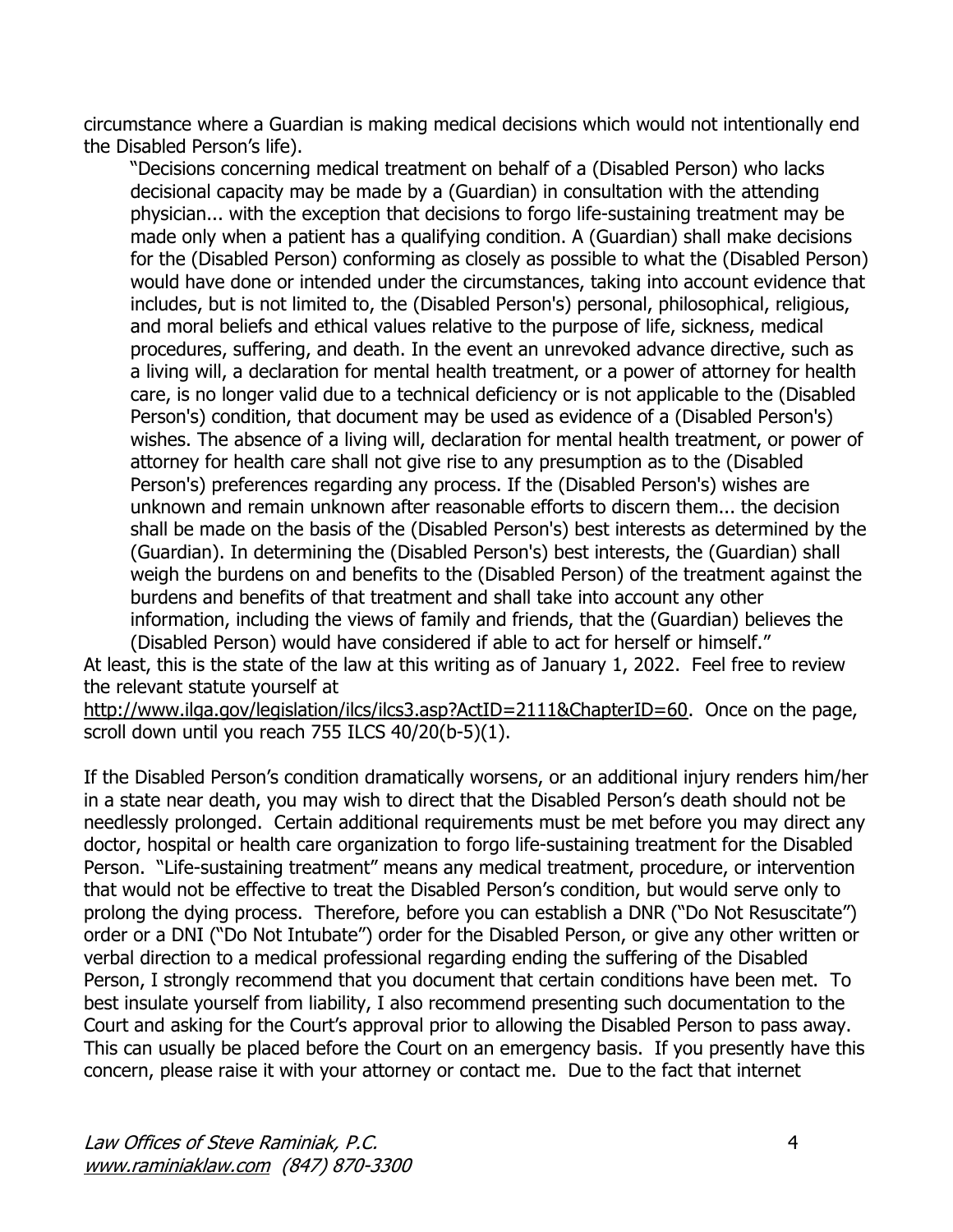circumstance where a Guardian is making medical decisions which would not intentionally end the Disabled Person's life).

"Decisions concerning medical treatment on behalf of a (Disabled Person) who lacks decisional capacity may be made by a (Guardian) in consultation with the attending physician... with the exception that decisions to forgo life-sustaining treatment may be made only when a patient has a qualifying condition. A (Guardian) shall make decisions for the (Disabled Person) conforming as closely as possible to what the (Disabled Person) would have done or intended under the circumstances, taking into account evidence that includes, but is not limited to, the (Disabled Person's) personal, philosophical, religious, and moral beliefs and ethical values relative to the purpose of life, sickness, medical procedures, suffering, and death. In the event an unrevoked advance directive, such as a living will, a declaration for mental health treatment, or a power of attorney for health care, is no longer valid due to a technical deficiency or is not applicable to the (Disabled Person's) condition, that document may be used as evidence of a (Disabled Person's) wishes. The absence of a living will, declaration for mental health treatment, or power of attorney for health care shall not give rise to any presumption as to the (Disabled Person's) preferences regarding any process. If the (Disabled Person's) wishes are unknown and remain unknown after reasonable efforts to discern them... the decision shall be made on the basis of the (Disabled Person's) best interests as determined by the (Guardian). In determining the (Disabled Person's) best interests, the (Guardian) shall weigh the burdens on and benefits to the (Disabled Person) of the treatment against the burdens and benefits of that treatment and shall take into account any other information, including the views of family and friends, that the (Guardian) believes the (Disabled Person) would have considered if able to act for herself or himself."

At least, this is the state of the law at this writing as of January 1, 2022. Feel free to review the relevant statute yourself at

[http://www.ilga.gov/legislation/ilcs/ilcs3.asp?ActID=2111&ChapterID=60.](http://www.ilga.gov/legislation/ilcs/ilcs3.asp?ActID=2111&ChapterID=60) Once on the page, scroll down until you reach 755 ILCS 40/20(b-5)(1).

If the Disabled Person's condition dramatically worsens, or an additional injury renders him/her in a state near death, you may wish to direct that the Disabled Person's death should not be needlessly prolonged. Certain additional requirements must be met before you may direct any doctor, hospital or health care organization to forgo life-sustaining treatment for the Disabled Person. "Life-sustaining treatment" means any medical treatment, procedure, or intervention that would not be effective to treat the Disabled Person's condition, but would serve only to prolong the dying process. Therefore, before you can establish a DNR ("Do Not Resuscitate") order or a DNI ("Do Not Intubate") order for the Disabled Person, or give any other written or verbal direction to a medical professional regarding ending the suffering of the Disabled Person, I strongly recommend that you document that certain conditions have been met. To best insulate yourself from liability, I also recommend presenting such documentation to the Court and asking for the Court's approval prior to allowing the Disabled Person to pass away. This can usually be placed before the Court on an emergency basis. If you presently have this concern, please raise it with your attorney or contact me. Due to the fact that internet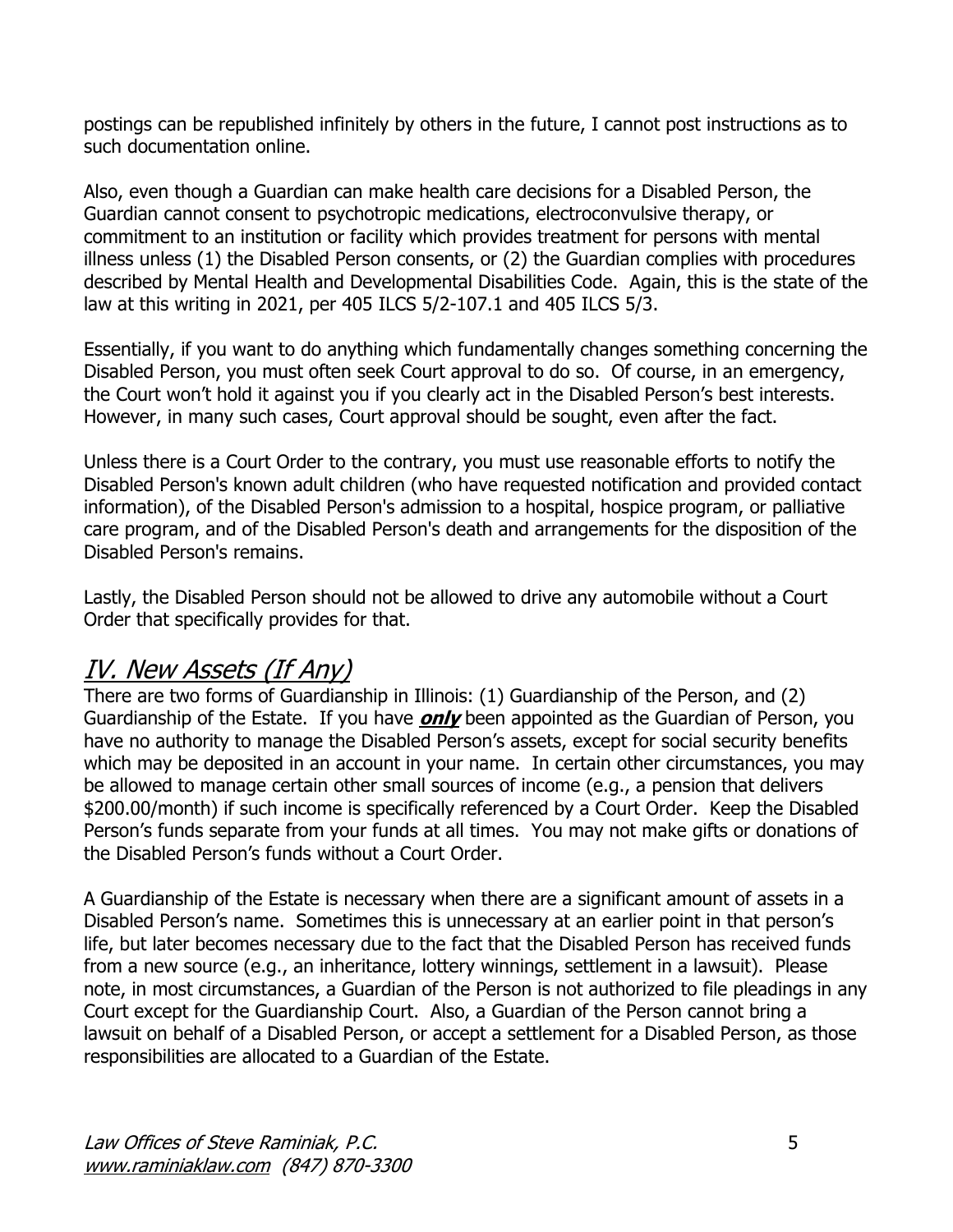postings can be republished infinitely by others in the future, I cannot post instructions as to such documentation online.

Also, even though a Guardian can make health care decisions for a Disabled Person, the Guardian cannot consent to psychotropic medications, electroconvulsive therapy, or commitment to an institution or facility which provides treatment for persons with mental illness unless (1) the Disabled Person consents, or (2) the Guardian complies with procedures described by Mental Health and Developmental Disabilities Code. Again, this is the state of the law at this writing in 2021, per 405 ILCS 5/2-107.1 and 405 ILCS 5/3.

Essentially, if you want to do anything which fundamentally changes something concerning the Disabled Person, you must often seek Court approval to do so. Of course, in an emergency, the Court won't hold it against you if you clearly act in the Disabled Person's best interests. However, in many such cases, Court approval should be sought, even after the fact.

Unless there is a Court Order to the contrary, you must use reasonable efforts to notify the Disabled Person's known adult children (who have requested notification and provided contact information), of the Disabled Person's admission to a hospital, hospice program, or palliative care program, and of the Disabled Person's death and arrangements for the disposition of the Disabled Person's remains.

Lastly, the Disabled Person should not be allowed to drive any automobile without a Court Order that specifically provides for that.

#### IV. New Assets (If Any)

There are two forms of Guardianship in Illinois: (1) Guardianship of the Person, and (2) Guardianship of the Estate. If you have **only** been appointed as the Guardian of Person, you have no authority to manage the Disabled Person's assets, except for social security benefits which may be deposited in an account in your name. In certain other circumstances, you may be allowed to manage certain other small sources of income (e.g., a pension that delivers \$200.00/month) if such income is specifically referenced by a Court Order. Keep the Disabled Person's funds separate from your funds at all times. You may not make gifts or donations of the Disabled Person's funds without a Court Order.

A Guardianship of the Estate is necessary when there are a significant amount of assets in a Disabled Person's name. Sometimes this is unnecessary at an earlier point in that person's life, but later becomes necessary due to the fact that the Disabled Person has received funds from a new source (e.g., an inheritance, lottery winnings, settlement in a lawsuit). Please note, in most circumstances, a Guardian of the Person is not authorized to file pleadings in any Court except for the Guardianship Court. Also, a Guardian of the Person cannot bring a lawsuit on behalf of a Disabled Person, or accept a settlement for a Disabled Person, as those responsibilities are allocated to a Guardian of the Estate.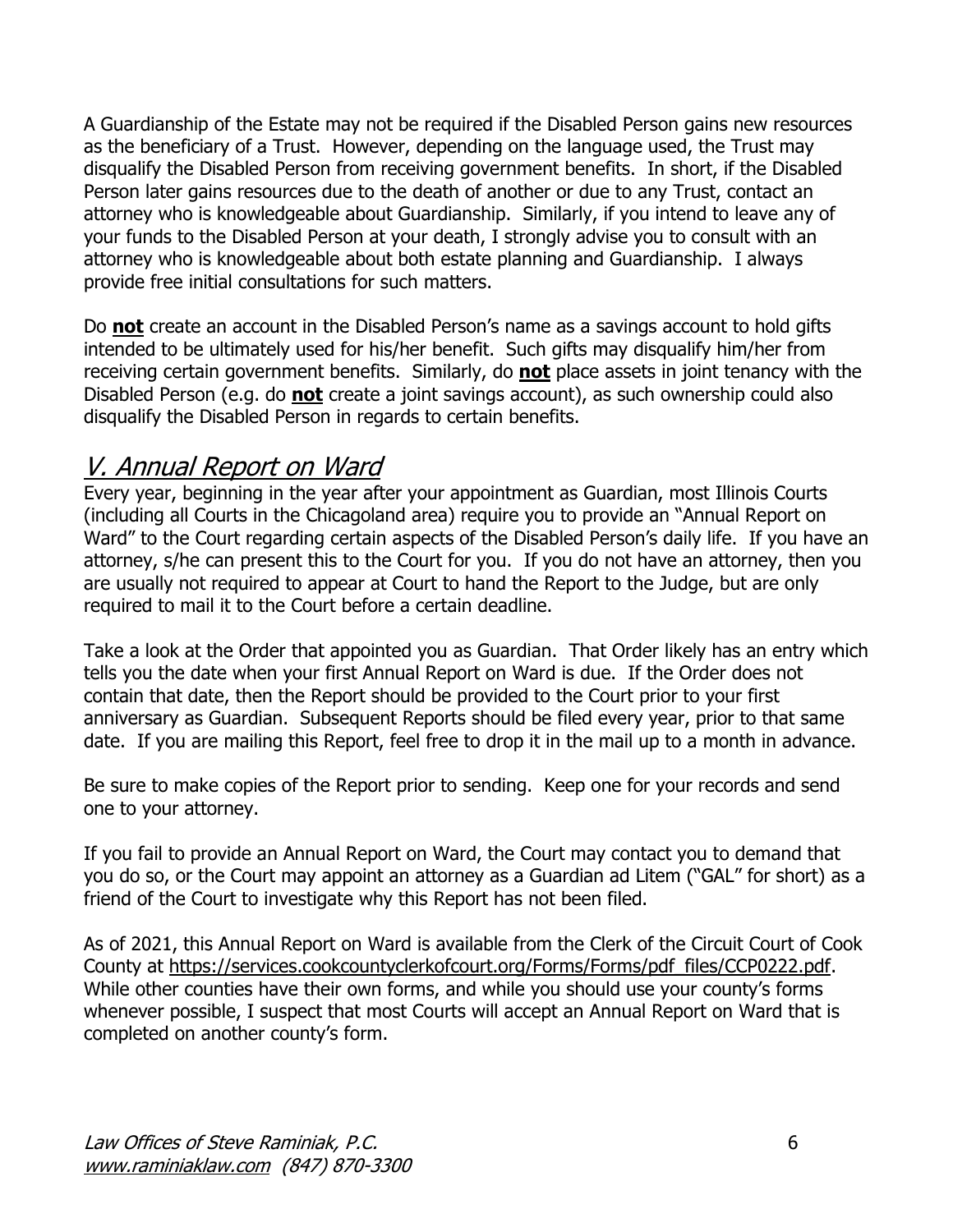A Guardianship of the Estate may not be required if the Disabled Person gains new resources as the beneficiary of a Trust. However, depending on the language used, the Trust may disqualify the Disabled Person from receiving government benefits. In short, if the Disabled Person later gains resources due to the death of another or due to any Trust, contact an attorney who is knowledgeable about Guardianship. Similarly, if you intend to leave any of your funds to the Disabled Person at your death, I strongly advise you to consult with an attorney who is knowledgeable about both estate planning and Guardianship. I always provide free initial consultations for such matters.

Do **not** create an account in the Disabled Person's name as a savings account to hold gifts intended to be ultimately used for his/her benefit. Such gifts may disqualify him/her from receiving certain government benefits. Similarly, do **not** place assets in joint tenancy with the Disabled Person (e.g. do **not** create a joint savings account), as such ownership could also disqualify the Disabled Person in regards to certain benefits.

#### V. Annual Report on Ward

Every year, beginning in the year after your appointment as Guardian, most Illinois Courts (including all Courts in the Chicagoland area) require you to provide an "Annual Report on Ward" to the Court regarding certain aspects of the Disabled Person's daily life. If you have an attorney, s/he can present this to the Court for you. If you do not have an attorney, then you are usually not required to appear at Court to hand the Report to the Judge, but are only required to mail it to the Court before a certain deadline.

Take a look at the Order that appointed you as Guardian. That Order likely has an entry which tells you the date when your first Annual Report on Ward is due. If the Order does not contain that date, then the Report should be provided to the Court prior to your first anniversary as Guardian. Subsequent Reports should be filed every year, prior to that same date. If you are mailing this Report, feel free to drop it in the mail up to a month in advance.

Be sure to make copies of the Report prior to sending. Keep one for your records and send one to your attorney.

If you fail to provide an Annual Report on Ward, the Court may contact you to demand that you do so, or the Court may appoint an attorney as a Guardian ad Litem ("GAL" for short) as a friend of the Court to investigate why this Report has not been filed.

As of 2021, this Annual Report on Ward is available from the Clerk of the Circuit Court of Cook County at [https://services.cookcountyclerkofcourt.org/Forms/Forms/pdf\\_files/CCP0222.pdf.](https://services.cookcountyclerkofcourt.org/Forms/Forms/pdf_files/CCP0222.pdf) While other counties have their own forms, and while you should use your county's forms whenever possible, I suspect that most Courts will accept an Annual Report on Ward that is completed on another county's form.